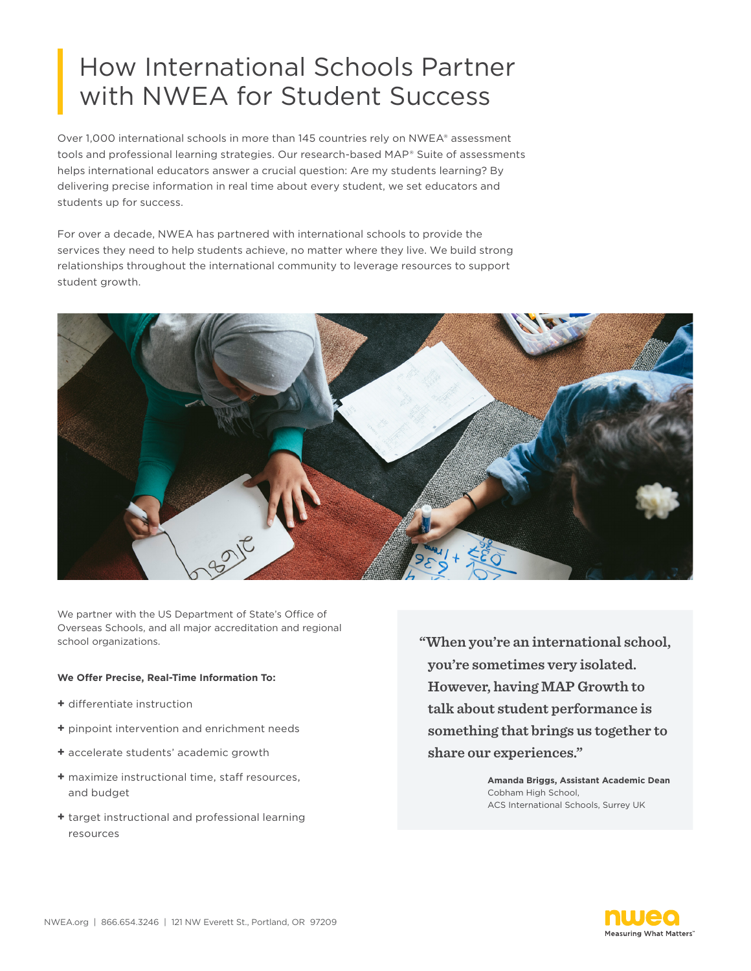## How International Schools Partner with NWEA for Student Success

Over 1,000 international schools in more than 145 countries rely on NWEA® assessment tools and professional learning strategies. Our research-based MAP® Suite of assessments helps international educators answer a crucial question: Are my students learning? By delivering precise information in real time about every student, we set educators and students up for success.

For over a decade, NWEA has partnered with international schools to provide the services they need to help students achieve, no matter where they live. We build strong relationships throughout the international community to leverage resources to support student growth.



We partner with the US Department of State's Office of Overseas Schools, and all major accreditation and regional school organizations.

## **We Offer Precise, Real-Time Information To:**

- **+** differentiate instruction
- **+** pinpoint intervention and enrichment needs
- **+** accelerate students' academic growth
- **+** maximize instructional time, staff resources, and budget
- **+** target instructional and professional learning resources

**"When you're an international school, you're sometimes very isolated. However, having MAP Growth to talk about student performance is something that brings us together to share our experiences."**

> **Amanda Briggs, Assistant Academic Dean** Cobham High School, ACS International Schools, Surrey UK